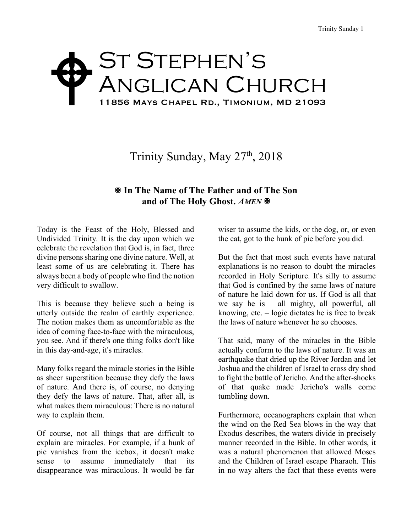## St Stephen's ANGLICAN CHURCH 11856 Mays Chapel Rd., Timonium, MD 21093  $\blacklozenge$

## Trinity Sunday, May 27<sup>th</sup>, 2018

## X **In The Name of The Father and of The Son and of The Holy Ghost.** *AMEN* **※**

Today is the Feast of the Holy, Blessed and Undivided Trinity. It is the day upon which we celebrate the revelation that God is, in fact, three divine persons sharing one divine nature. Well, at least some of us are celebrating it. There has always been a body of people who find the notion very difficult to swallow.

This is because they believe such a being is utterly outside the realm of earthly experience. The notion makes them as uncomfortable as the idea of coming face-to-face with the miraculous, you see. And if there's one thing folks don't like in this day-and-age, it's miracles.

Many folks regard the miracle stories in the Bible as sheer superstition because they defy the laws of nature. And there is, of course, no denying they defy the laws of nature. That, after all, is what makes them miraculous: There is no natural way to explain them.

Of course, not all things that are difficult to explain are miracles. For example, if a hunk of pie vanishes from the icebox, it doesn't make sense to assume immediately that its disappearance was miraculous. It would be far

wiser to assume the kids, or the dog, or, or even the cat, got to the hunk of pie before you did.

But the fact that most such events have natural explanations is no reason to doubt the miracles recorded in Holy Scripture. It's silly to assume that God is confined by the same laws of nature of nature he laid down for us. If God is all that we say he is – all mighty, all powerful, all knowing, etc. – logic dictates he is free to break the laws of nature whenever he so chooses.

That said, many of the miracles in the Bible actually conform to the laws of nature. It was an earthquake that dried up the River Jordan and let Joshua and the children of Israel to cross dry shod to fight the battle of Jericho. And the after-shocks of that quake made Jericho's walls come tumbling down.

Furthermore, oceanographers explain that when the wind on the Red Sea blows in the way that Exodus describes, the waters divide in precisely manner recorded in the Bible. In other words, it was a natural phenomenon that allowed Moses and the Children of Israel escape Pharaoh. This in no way alters the fact that these events were